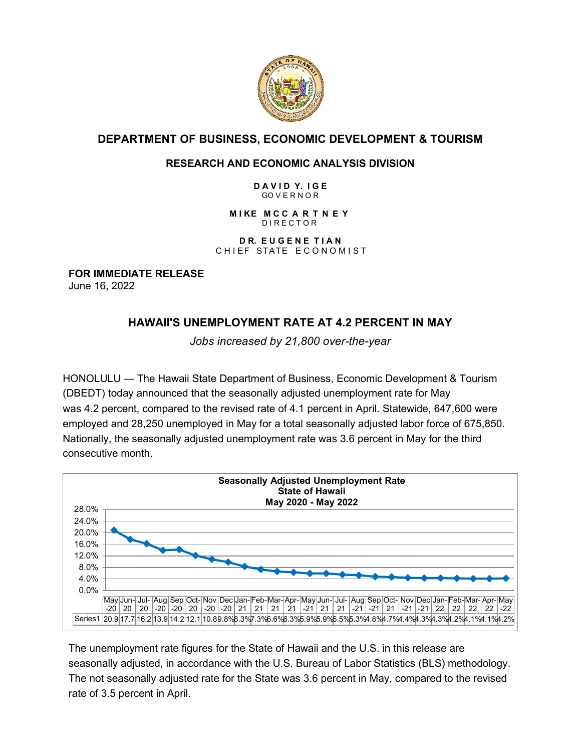

# **DEPARTMENT OF BUSINESS, ECONOMIC DEVELOPMENT & TOURISM**

#### **RESEARCH AND ECONOMIC ANALYSIS DIVISION**

**D A V I D Y. I G E** GO V E R N O R

**M I KE M C C A R T N E Y** D I R E C T O R

**D R. E U G E N E T I A N**  CHIEF STATE ECONOMIST

**FOR IMMEDIATE RELEASE** June 16, 2022

# **HAWAII'S UNEMPLOYMENT RATE AT 4.2 PERCENT IN MAY**

*Jobs increased by 21,800 over-the-year*

HONOLULU — The Hawaii State Department of Business, Economic Development & Tourism (DBEDT) today announced that the seasonally adjusted unemployment rate for May was 4.2 percent, compared to the revised rate of 4.1 percent in April. Statewide, 647,600 were employed and 28,250 unemployed in May for a total seasonally adjusted labor force of 675,850. Nationally, the seasonally adjusted unemployment rate was 3.6 percent in May for the third consecutive month.



The unemployment rate figures for the State of Hawaii and the U.S. in this release are seasonally adjusted, in accordance with the U.S. Bureau of Labor Statistics (BLS) methodology. The not seasonally adjusted rate for the State was 3.6 percent in May, compared to the revised rate of 3.5 percent in April.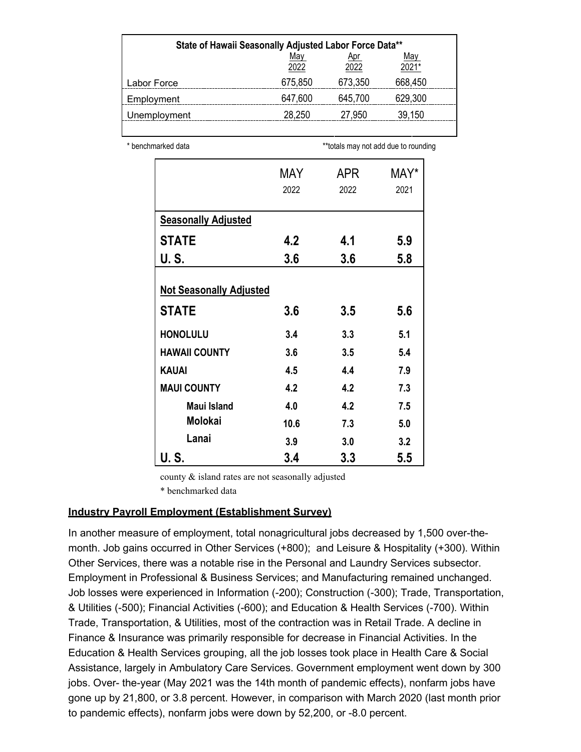| State of Hawaii Seasonally Adjusted Labor Force Data** |             |                    |                     |  |  |
|--------------------------------------------------------|-------------|--------------------|---------------------|--|--|
|                                                        | May<br>2022 | <u>Apr</u><br>2022 | <u>May</u><br>2021* |  |  |
| Labor Force                                            | 675,850     | 673,350            | 668,450             |  |  |
| Employment                                             | 647,600     | 645,700            | 629,300             |  |  |
| Unemployment                                           | 28,250      | 27,950             | 39,150              |  |  |
|                                                        |             |                    |                     |  |  |

\* benchmarked data **\*\*\***totals may not add due to rounding

|                                | MAY<br>2022 | <b>APR</b><br>2022 | MAY*<br>2021 |
|--------------------------------|-------------|--------------------|--------------|
| <b>Seasonally Adjusted</b>     |             |                    |              |
| <b>STATE</b>                   | 4.2         | 4.1                |              |
| U. S.                          | 3.6         | 3.6                | 5.8          |
| <b>Not Seasonally Adjusted</b> |             |                    |              |
| <b>STATE</b>                   | 3.6         | 3.5                | 5.6          |
| <b>HONOLULU</b>                | 3.4         | 3.3                | 5.1          |
| <b>HAWAII COUNTY</b>           | 3.6         | 3.5                | 5.4          |
| <b>KAUAI</b>                   | 4.5         | 4.4                | 7.9          |
| <b>MAUI COUNTY</b>             | 4.2         | 4.2                | 7.3          |
| <b>Maui Island</b>             | 4.0         | 4.2                | 7.5          |
| <b>Molokai</b>                 | 10.6        | 7.3                | 5.0          |
| Lanai                          | 3.9         | 3.0                | 3.2          |
| U. S.                          | 3.4         | 3.3                | 5.5          |

county & island rates are not seasonally adjusted

\* benchmarked data

#### **Industry Payroll Employment (Establishment Survey)**

In another measure of employment, total nonagricultural jobs decreased by 1,500 over-themonth. Job gains occurred in Other Services (+800); and Leisure & Hospitality (+300). Within Other Services, there was a notable rise in the Personal and Laundry Services subsector. Employment in Professional & Business Services; and Manufacturing remained unchanged. Job losses were experienced in Information (-200); Construction (-300); Trade, Transportation, & Utilities (-500); Financial Activities (-600); and Education & Health Services (-700). Within Trade, Transportation, & Utilities, most of the contraction was in Retail Trade. A decline in Finance & Insurance was primarily responsible for decrease in Financial Activities. In the Education & Health Services grouping, all the job losses took place in Health Care & Social Assistance, largely in Ambulatory Care Services. Government employment went down by 300 jobs. Over- the-year (May 2021 was the 14th month of pandemic effects), nonfarm jobs have gone up by 21,800, or 3.8 percent. However, in comparison with March 2020 (last month prior to pandemic effects), nonfarm jobs were down by 52,200, or -8.0 percent.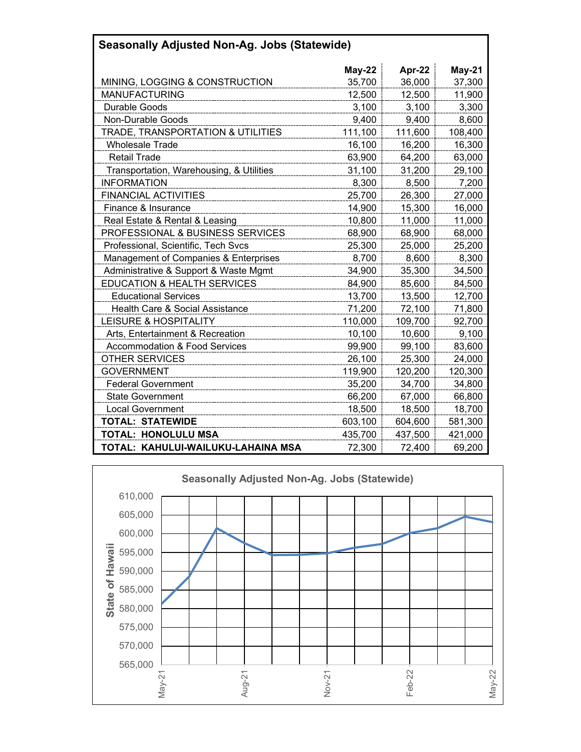| <b>Seasonally Adjusted Non-Ag. Jobs (Statewide)</b> |         |         |               |  |  |
|-----------------------------------------------------|---------|---------|---------------|--|--|
|                                                     | May-22  | Apr-22  | <b>May-21</b> |  |  |
| MINING, LOGGING & CONSTRUCTION                      | 35,700  | 36,000  | 37,300        |  |  |
| <b>MANUFACTURING</b>                                | 12,500  | 12,500  | 11,900        |  |  |
| Durable Goods                                       | 3,100   | 3,100   | 3,300         |  |  |
| Non-Durable Goods                                   | 9,400   | 9,400   | 8,600         |  |  |
| TRADE, TRANSPORTATION & UTILITIES                   | 111,100 | 111,600 | 108,400       |  |  |
| <b>Wholesale Trade</b>                              | 16,100  | 16,200  | 16,300        |  |  |
| <b>Retail Trade</b>                                 | 63,900  | 64,200  | 63,000        |  |  |
| Transportation, Warehousing, & Utilities            | 31,100  | 31,200  | 29,100        |  |  |
| <b>INFORMATION</b>                                  | 8,300   | 8,500   | 7,200         |  |  |
| <b>FINANCIAL ACTIVITIES</b>                         | 25,700  | 26,300  | 27,000        |  |  |
| Finance & Insurance                                 | 14,900  | 15,300  | 16,000        |  |  |
| Real Estate & Rental & Leasing                      | 10,800  | 11,000  | 11,000        |  |  |
| PROFESSIONAL & BUSINESS SERVICES                    | 68,900  | 68,900  | 68,000        |  |  |
| Professional, Scientific, Tech Svcs                 | 25,300  | 25,000  | 25,200        |  |  |
| Management of Companies & Enterprises               | 8,700   | 8,600   | 8,300         |  |  |
| Administrative & Support & Waste Mgmt               | 34,900  | 35,300  | 34,500        |  |  |
| <b>EDUCATION &amp; HEALTH SERVICES</b>              | 84,900  | 85,600  | 84,500        |  |  |
| <b>Educational Services</b>                         | 13,700  | 13,500  | 12,700        |  |  |
| Health Care & Social Assistance                     | 71,200  | 72,100  | 71,800        |  |  |
| <b>LEISURE &amp; HOSPITALITY</b>                    | 110,000 | 109,700 | 92,700        |  |  |
| Arts, Entertainment & Recreation                    | 10,100  | 10,600  | 9,100         |  |  |
| <b>Accommodation &amp; Food Services</b>            | 99,900  | 99,100  | 83,600        |  |  |
| <b>OTHER SERVICES</b>                               | 26,100  | 25,300  | 24,000        |  |  |
| <b>GOVERNMENT</b>                                   | 119,900 | 120,200 | 120,300       |  |  |
| <b>Federal Government</b>                           | 35,200  | 34,700  | 34,800        |  |  |
| <b>State Government</b>                             | 66,200  | 67,000  | 66,800        |  |  |
| <b>Local Government</b>                             | 18,500  | 18,500  | 18,700        |  |  |
| <b>TOTAL: STATEWIDE</b>                             | 603,100 | 604,600 | 581,300       |  |  |
| <b>TOTAL: HONOLULU MSA</b>                          | 435,700 | 437,500 | 421,000       |  |  |
| TOTAL: KAHULUI-WAILUKU-LAHAINA MSA                  | 72,300  | 72,400  | 69,200        |  |  |

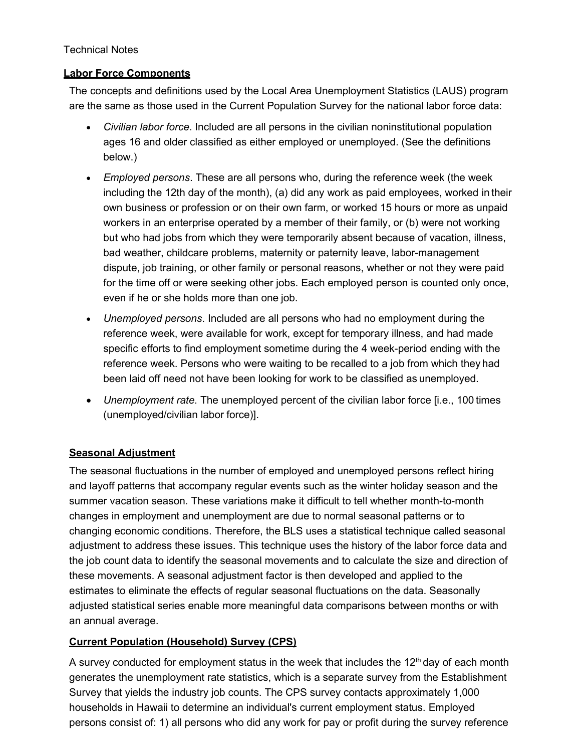#### Technical Notes

#### **Labor Force Components**

The concepts and definitions used by the Local Area Unemployment Statistics (LAUS) program are the same as those used in the Current Population Survey for the national labor force data:

- *Civilian labor force*. Included are all persons in the civilian noninstitutional population ages 16 and older classified as either employed or unemployed. (See the definitions below.)
- *Employed persons*. These are all persons who, during the reference week (the week including the 12th day of the month), (a) did any work as paid employees, worked in their own business or profession or on their own farm, or worked 15 hours or more as unpaid workers in an enterprise operated by a member of their family, or (b) were not working but who had jobs from which they were temporarily absent because of vacation, illness, bad weather, childcare problems, maternity or paternity leave, labor-management dispute, job training, or other family or personal reasons, whether or not they were paid for the time off or were seeking other jobs. Each employed person is counted only once, even if he or she holds more than one job.
- *Unemployed persons*. Included are all persons who had no employment during the reference week, were available for work, except for temporary illness, and had made specific efforts to find employment sometime during the 4 week-period ending with the reference week. Persons who were waiting to be recalled to a job from which they had been laid off need not have been looking for work to be classified as unemployed.
- *Unemployment rate*. The unemployed percent of the civilian labor force [i.e., 100 times (unemployed/civilian labor force)].

## **Seasonal Adjustment**

The seasonal fluctuations in the number of employed and unemployed persons reflect hiring and layoff patterns that accompany regular events such as the winter holiday season and the summer vacation season. These variations make it difficult to tell whether month-to-month changes in employment and unemployment are due to normal seasonal patterns or to changing economic conditions. Therefore, the BLS uses a statistical technique called seasonal adjustment to address these issues. This technique uses the history of the labor force data and the job count data to identify the seasonal movements and to calculate the size and direction of these movements. A seasonal adjustment factor is then developed and applied to the estimates to eliminate the effects of regular seasonal fluctuations on the data. Seasonally adjusted statistical series enable more meaningful data comparisons between months or with an annual average.

## **Current Population (Household) Survey (CPS)**

A survey conducted for employment status in the week that includes the  $12<sup>th</sup>$  day of each month generates the unemployment rate statistics, which is a separate survey from the Establishment Survey that yields the industry job counts. The CPS survey contacts approximately 1,000 households in Hawaii to determine an individual's current employment status. Employed persons consist of: 1) all persons who did any work for pay or profit during the survey reference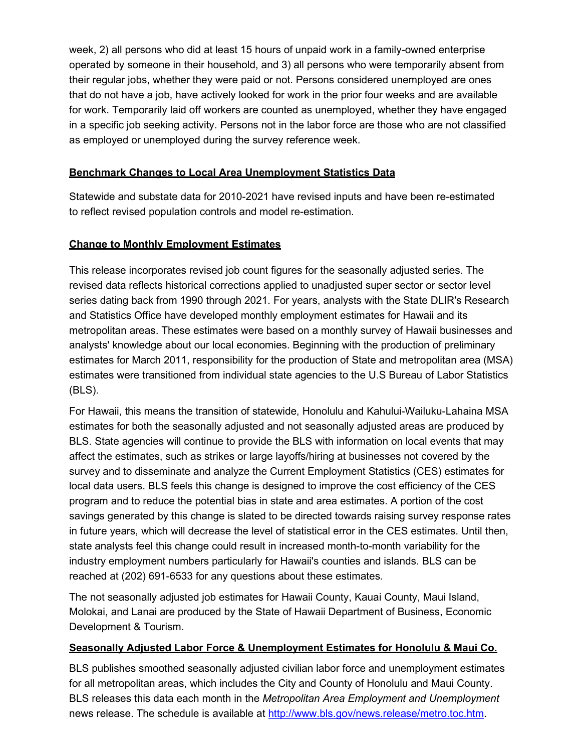week, 2) all persons who did at least 15 hours of unpaid work in a family-owned enterprise operated by someone in their household, and 3) all persons who were temporarily absent from their regular jobs, whether they were paid or not. Persons considered unemployed are ones that do not have a job, have actively looked for work in the prior four weeks and are available for work. Temporarily laid off workers are counted as unemployed, whether they have engaged in a specific job seeking activity. Persons not in the labor force are those who are not classified as employed or unemployed during the survey reference week.

#### **Benchmark Changes to Local Area Unemployment Statistics Data**

Statewide and substate data for 2010-2021 have revised inputs and have been re-estimated to reflect revised population controls and model re-estimation.

## **Change to Monthly Employment Estimates**

This release incorporates revised job count figures for the seasonally adjusted series. The revised data reflects historical corrections applied to unadjusted super sector or sector level series dating back from 1990 through 2021. For years, analysts with the State DLIR's Research and Statistics Office have developed monthly employment estimates for Hawaii and its metropolitan areas. These estimates were based on a monthly survey of Hawaii businesses and analysts' knowledge about our local economies. Beginning with the production of preliminary estimates for March 2011, responsibility for the production of State and metropolitan area (MSA) estimates were transitioned from individual state agencies to the U.S Bureau of Labor Statistics (BLS).

For Hawaii, this means the transition of statewide, Honolulu and Kahului-Wailuku-Lahaina MSA estimates for both the seasonally adjusted and not seasonally adjusted areas are produced by BLS. State agencies will continue to provide the BLS with information on local events that may affect the estimates, such as strikes or large layoffs/hiring at businesses not covered by the survey and to disseminate and analyze the Current Employment Statistics (CES) estimates for local data users. BLS feels this change is designed to improve the cost efficiency of the CES program and to reduce the potential bias in state and area estimates. A portion of the cost savings generated by this change is slated to be directed towards raising survey response rates in future years, which will decrease the level of statistical error in the CES estimates. Until then, state analysts feel this change could result in increased month-to-month variability for the industry employment numbers particularly for Hawaii's counties and islands. BLS can be reached at (202) 691-6533 for any questions about these estimates.

The not seasonally adjusted job estimates for Hawaii County, Kauai County, Maui Island, Molokai, and Lanai are produced by the State of Hawaii Department of Business, Economic Development & Tourism.

## **Seasonally Adjusted Labor Force & Unemployment Estimates for Honolulu & Maui Co.**

BLS publishes smoothed seasonally adjusted civilian labor force and unemployment estimates for all metropolitan areas, which includes the City and County of Honolulu and Maui County. BLS releases this data each month in the *Metropolitan Area Employment and Unemployment* news release. The schedule is available at [http://www.bls.gov/news.release/metro.toc.htm.](http://www.bls.gov/news.release/metro.toc.htm)